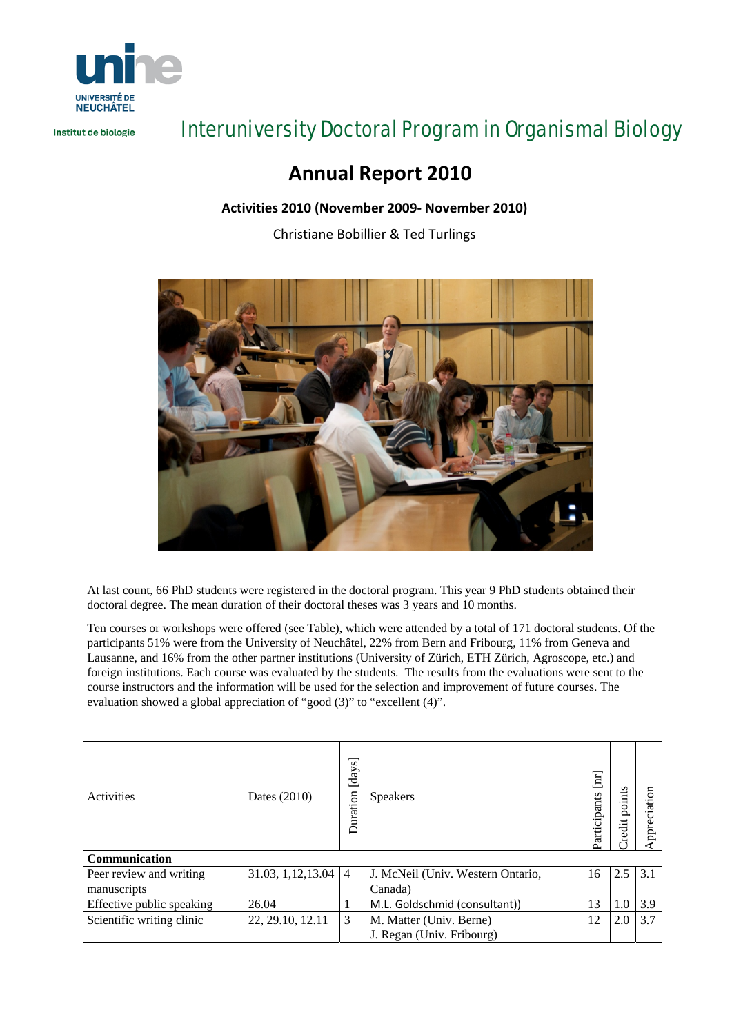

Institut de biologie

# Interuniversity Doctoral Program in Organismal Biology

## **Annual Report 2010**

### **Activities 2010 (November 2009‐ November 2010)**

Christiane Bobillier & Ted Turlings



At last count, 66 PhD students were registered in the doctoral program. This year 9 PhD students obtained their doctoral degree. The mean duration of their doctoral theses was 3 years and 10 months.

Ten courses or workshops were offered (see Table), which were attended by a total of 171 doctoral students. Of the participants 51% were from the University of Neuchâtel, 22% from Bern and Fribourg, 11% from Geneva and Lausanne, and 16% from the other partner institutions (University of Zürich, ETH Zürich, Agroscope, etc.) and foreign institutions. Each course was evaluated by the students. The results from the evaluations were sent to the course instructors and the information will be used for the selection and improvement of future courses. The evaluation showed a global appreciation of "good (3)" to "excellent (4)".

| Activities                | Dates (2010)        | ञ<br>[day<br>Duration | <b>Speakers</b>                   | Participants | points<br>Credit | ation<br>Apprecia |  |  |  |  |
|---------------------------|---------------------|-----------------------|-----------------------------------|--------------|------------------|-------------------|--|--|--|--|
| Communication             |                     |                       |                                   |              |                  |                   |  |  |  |  |
| Peer review and writing   | 31.03, 1, 12, 13.04 | $\overline{4}$        | J. McNeil (Univ. Western Ontario, | 16           | 2.5              | 3.1               |  |  |  |  |
| manuscripts               |                     |                       | Canada)                           |              |                  |                   |  |  |  |  |
| Effective public speaking | 26.04               |                       | M.L. Goldschmid (consultant))     | 13           | 1.0              | 3.9               |  |  |  |  |
| Scientific writing clinic | 22, 29.10, 12.11    | 3                     | M. Matter (Univ. Berne)           | 12           | 2.0              | 3.7               |  |  |  |  |
|                           |                     |                       | J. Regan (Univ. Fribourg)         |              |                  |                   |  |  |  |  |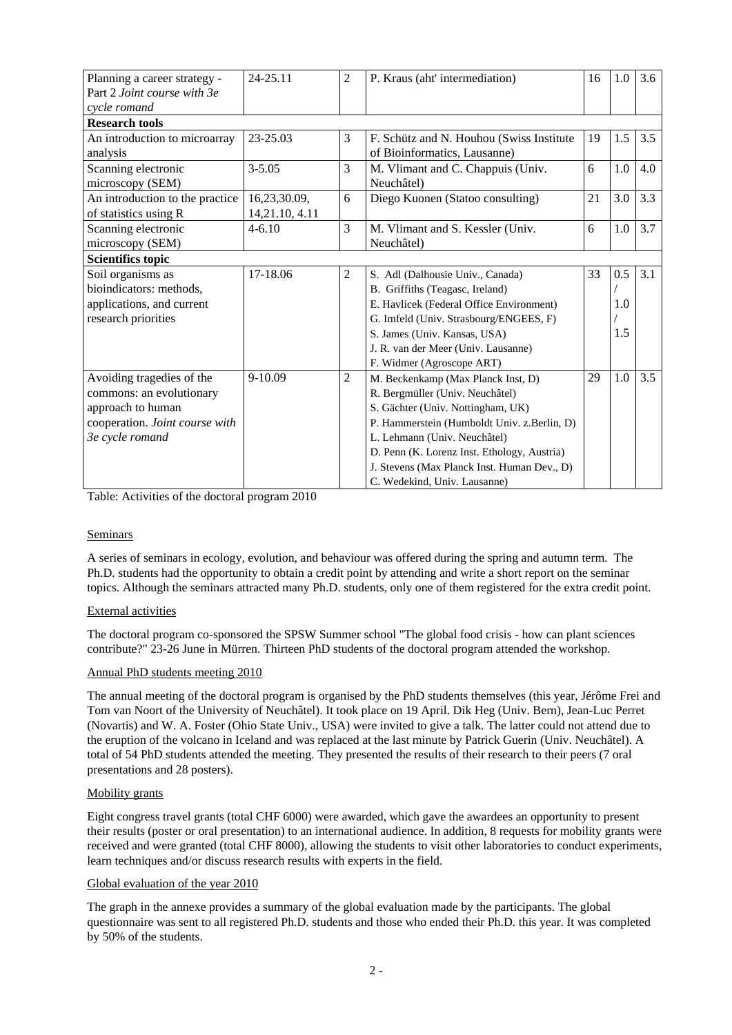| Planning a career strategy -    | 24-25.11       | 2              | P. Kraus (aht' intermediation)              | 16 | 1.0 | 3.6 |  |  |  |  |  |
|---------------------------------|----------------|----------------|---------------------------------------------|----|-----|-----|--|--|--|--|--|
| Part 2 Joint course with 3e     |                |                |                                             |    |     |     |  |  |  |  |  |
| cycle romand                    |                |                |                                             |    |     |     |  |  |  |  |  |
| <b>Research tools</b>           |                |                |                                             |    |     |     |  |  |  |  |  |
| An introduction to microarray   | 23-25.03       | 3              | F. Schütz and N. Houhou (Swiss Institute)   | 19 | 1.5 | 3.5 |  |  |  |  |  |
| analysis                        |                |                | of Bioinformatics, Lausanne)                |    |     |     |  |  |  |  |  |
| Scanning electronic             | $3 - 5.05$     | 3              | M. Vlimant and C. Chappuis (Univ.           | 6  | 1.0 | 4.0 |  |  |  |  |  |
| microscopy (SEM)                |                |                | Neuchâtel)                                  |    |     |     |  |  |  |  |  |
| An introduction to the practice | 16,23,30.09,   | 6              | Diego Kuonen (Statoo consulting)            | 21 | 3.0 | 3.3 |  |  |  |  |  |
| of statistics using R           | 14,21.10, 4.11 |                |                                             |    |     |     |  |  |  |  |  |
| Scanning electronic             | $4 - 6.10$     | 3              | M. Vlimant and S. Kessler (Univ.            | 6  | 1.0 | 3.7 |  |  |  |  |  |
| microscopy (SEM)                |                |                | Neuchâtel)                                  |    |     |     |  |  |  |  |  |
| <b>Scientifics topic</b>        |                |                |                                             |    |     |     |  |  |  |  |  |
| Soil organisms as               | 17-18.06       | $\overline{c}$ | S. Adl (Dalhousie Univ., Canada)            | 33 | 0.5 | 3.1 |  |  |  |  |  |
| bioindicators: methods,         |                |                | B. Griffiths (Teagasc, Ireland)             |    |     |     |  |  |  |  |  |
| applications, and current       |                |                | E. Havlicek (Federal Office Environment)    |    | 1.0 |     |  |  |  |  |  |
| research priorities             |                |                | G. Imfeld (Univ. Strasbourg/ENGEES, F)      |    |     |     |  |  |  |  |  |
|                                 |                |                | S. James (Univ. Kansas, USA)                |    | 1.5 |     |  |  |  |  |  |
|                                 |                |                | J. R. van der Meer (Univ. Lausanne)         |    |     |     |  |  |  |  |  |
|                                 |                |                | F. Widmer (Agroscope ART)                   |    |     |     |  |  |  |  |  |
| Avoiding tragedies of the       | 9-10.09        | $\mathfrak{2}$ | M. Beckenkamp (Max Planck Inst, D)          | 29 | 1.0 | 3.5 |  |  |  |  |  |
| commons: an evolutionary        |                |                | R. Bergmüller (Univ. Neuchâtel)             |    |     |     |  |  |  |  |  |
| approach to human               |                |                | S. Gächter (Univ. Nottingham, UK)           |    |     |     |  |  |  |  |  |
| cooperation. Joint course with  |                |                | P. Hammerstein (Humboldt Univ. z.Berlin, D) |    |     |     |  |  |  |  |  |
| 3e cycle romand                 |                |                | L. Lehmann (Univ. Neuchâtel)                |    |     |     |  |  |  |  |  |
|                                 |                |                | D. Penn (K. Lorenz Inst. Ethology, Austria) |    |     |     |  |  |  |  |  |
|                                 |                |                | J. Stevens (Max Planck Inst. Human Dev., D) |    |     |     |  |  |  |  |  |
|                                 |                |                | C. Wedekind. Univ. Lausanne)                |    |     |     |  |  |  |  |  |

Table: Activities of the doctoral program 2010

#### Seminars

A series of seminars in ecology, evolution, and behaviour was offered during the spring and autumn term. The Ph.D. students had the opportunity to obtain a credit point by attending and write a short report on the seminar topics. Although the seminars attracted many Ph.D. students, only one of them registered for the extra credit point.

#### External activities

The doctoral program co-sponsored the SPSW Summer school "The global food crisis - how can plant sciences contribute?" 23-26 June in Mürren. Thirteen PhD students of the doctoral program attended the workshop.

#### Annual PhD students meeting 2010

The annual meeting of the doctoral program is organised by the PhD students themselves (this year, Jérôme Frei and Tom van Noort of the University of Neuchâtel). It took place on 19 April. Dik Heg (Univ. Bern), Jean-Luc Perret (Novartis) and W. A. Foster (Ohio State Univ., USA) were invited to give a talk. The latter could not attend due to the eruption of the volcano in Iceland and was replaced at the last minute by Patrick Guerin (Univ. Neuchâtel). A total of 54 PhD students attended the meeting. They presented the results of their research to their peers (7 oral presentations and 28 posters).

#### Mobility grants

Eight congress travel grants (total CHF 6000) were awarded, which gave the awardees an opportunity to present their results (poster or oral presentation) to an international audience. In addition, 8 requests for mobility grants were received and were granted (total CHF 8000), allowing the students to visit other laboratories to conduct experiments, learn techniques and/or discuss research results with experts in the field.

#### Global evaluation of the year 2010

The graph in the annexe provides a summary of the global evaluation made by the participants. The global questionnaire was sent to all registered Ph.D. students and those who ended their Ph.D. this year. It was completed by 50% of the students.